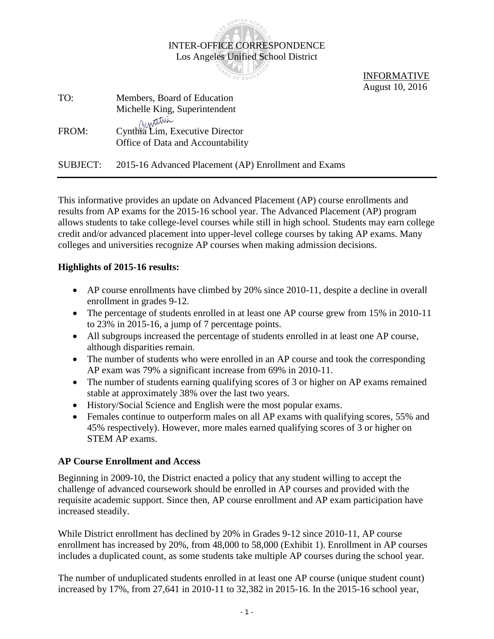|          | <b>PARD OF EL</b>                                                               | <b>INFORMATIVE</b><br>August 10, 2016 |
|----------|---------------------------------------------------------------------------------|---------------------------------------|
| TO:      | Members, Board of Education                                                     |                                       |
|          | Michelle King, Superintendent                                                   |                                       |
| FROM:    | Cuntura<br>Cynthra Lim, Executive Director<br>Office of Data and Accountability |                                       |
| SUBJECT: | 2015-16 Advanced Placement (AP) Enrollment and Exams                            |                                       |

INTER-OFFICE CORRESPONDENCE Los Angeles Unified School District

WIFIED

This informative provides an update on Advanced Placement (AP) course enrollments and results from AP exams for the 2015-16 school year. The Advanced Placement (AP) program allows students to take college-level courses while still in high school. Students may earn college credit and/or advanced placement into upper-level college courses by taking AP exams. Many colleges and universities recognize AP courses when making admission decisions.

## **Highlights of 2015-16 results:**

- AP course enrollments have climbed by 20% since 2010-11, despite a decline in overall enrollment in grades 9-12.
- The percentage of students enrolled in at least one AP course grew from 15% in 2010-11 to 23% in 2015-16, a jump of 7 percentage points.
- All subgroups increased the percentage of students enrolled in at least one AP course, although disparities remain.
- The number of students who were enrolled in an AP course and took the corresponding AP exam was 79% a significant increase from 69% in 2010-11.
- The number of students earning qualifying scores of 3 or higher on AP exams remained stable at approximately 38% over the last two years.
- History/Social Science and English were the most popular exams.
- Females continue to outperform males on all AP exams with qualifying scores, 55% and 45% respectively). However, more males earned qualifying scores of 3 or higher on STEM AP exams.

## **AP Course Enrollment and Access**

Beginning in 2009-10, the District enacted a policy that any student willing to accept the challenge of advanced coursework should be enrolled in AP courses and provided with the requisite academic support. Since then, AP course enrollment and AP exam participation have increased steadily.

While District enrollment has declined by 20% in Grades 9-12 since 2010-11, AP course enrollment has increased by 20%, from 48,000 to 58,000 (Exhibit 1). Enrollment in AP courses includes a duplicated count, as some students take multiple AP courses during the school year.

The number of unduplicated students enrolled in at least one AP course (unique student count) increased by 17%, from 27,641 in 2010-11 to 32,382 in 2015-16. In the 2015-16 school year,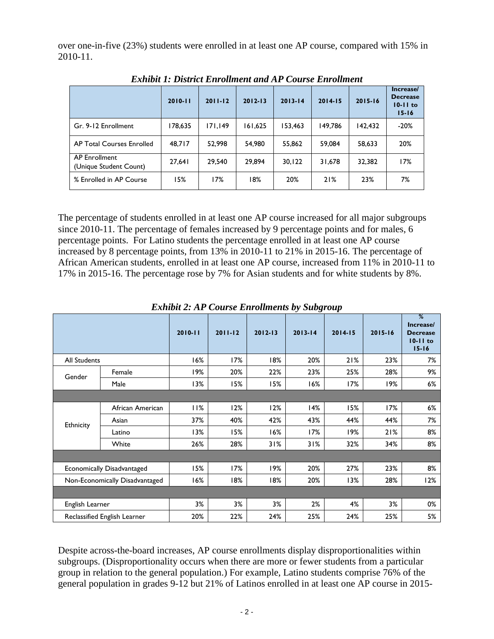over one-in-five (23%) students were enrolled in at least one AP course, compared with 15% in 2010-11.

| Ежного также больший больший многий союн эс Ени больший |             |             |             |             |             |             |                                                           |  |  |  |
|---------------------------------------------------------|-------------|-------------|-------------|-------------|-------------|-------------|-----------------------------------------------------------|--|--|--|
|                                                         | $2010 - 11$ | $2011 - 12$ | $2012 - 13$ | $2013 - 14$ | $2014 - 15$ | $2015 - 16$ | Increase/<br><b>Decrease</b><br>$10 - 11$ to<br>$15 - 16$ |  |  |  |
| Gr. 9-12 Enrollment                                     | 178,635     | 171.149     | 161,625     | 153,463     | 149.786     | 142,432     | $-20%$                                                    |  |  |  |
| AP Total Courses Enrolled                               | 48,717      | 52,998      | 54,980      | 55,862      | 59,084      | 58,633      | 20%                                                       |  |  |  |
| AP Enrollment<br>(Unique Student Count)                 | 27,641      | 29,540      | 29.894      | 30.122      | 31.678      | 32,382      | 17%                                                       |  |  |  |
| % Enrolled in AP Course                                 | 15%         | 17%         | 18%         | 20%         | 21%         | 23%         | 7%                                                        |  |  |  |

*Exhibit 1: District Enrollment and AP Course Enrollment*

The percentage of students enrolled in at least one AP course increased for all major subgroups since 2010-11. The percentage of females increased by 9 percentage points and for males, 6 percentage points. For Latino students the percentage enrolled in at least one AP course increased by 8 percentage points, from 13% in 2010-11 to 21% in 2015-16. The percentage of African American students, enrolled in at least one AP course, increased from 11% in 2010-11 to 17% in 2015-16. The percentage rose by 7% for Asian students and for white students by 8%.

|                                |                              | $2010 - 11$ | $2011 - 12$ | $2012 - 13$ | $2013 - 14$ | $2014 - 15$ | $2015 - 16$ | %<br>Increase/<br><b>Decrease</b><br>$10 - 11$ to<br>$15 - 16$ |
|--------------------------------|------------------------------|-------------|-------------|-------------|-------------|-------------|-------------|----------------------------------------------------------------|
| <b>All Students</b>            |                              | 16%         | 17%         | 18%         | 20%         | 21%         | 23%         | 7%                                                             |
| Gender                         | Female                       | 19%         | 20%         | 22%         | 23%         | 25%         | 28%         | 9%                                                             |
|                                | Male                         | 13%         | 15%         | 15%         | 16%         | 17%         | 19%         | 6%                                                             |
|                                |                              |             |             |             |             |             |             |                                                                |
|                                | African American             | 11%         | 12%         | 12%         | 14%         | 15%         | 17%         | 6%                                                             |
| Ethnicity                      | Asian                        | 37%         | 40%         | 42%         | 43%         | 44%         | 44%         | 7%                                                             |
|                                | Latino                       | 13%         | 15%         | 16%         | 17%         | 19%         | 21%         | 8%                                                             |
|                                | White                        | 26%         | 28%         | 31%         | 31%         | 32%         | 34%         | 8%                                                             |
|                                |                              |             |             |             |             |             |             |                                                                |
|                                | Economically Disadvantaged   | 15%         | 17%         | 19%         | 20%         | 27%         | 23%         | 8%                                                             |
| Non-Economically Disadvantaged |                              | 16%         | 18%         | 18%         | 20%         | 13%         | 28%         | 12%                                                            |
|                                |                              |             |             |             |             |             |             |                                                                |
| English Learner                |                              | 3%          | 3%          | 3%          | 2%          | 4%          | 3%          | 0%                                                             |
|                                | Reclassified English Learner | 20%         | 22%         | 24%         | 25%         | 24%         | 25%         | 5%                                                             |

*Exhibit 2: AP Course Enrollments by Subgroup*

Despite across-the-board increases, AP course enrollments display disproportionalities within subgroups. (Disproportionality occurs when there are more or fewer students from a particular group in relation to the general population.) For example, Latino students comprise 76% of the general population in grades 9-12 but 21% of Latinos enrolled in at least one AP course in 2015-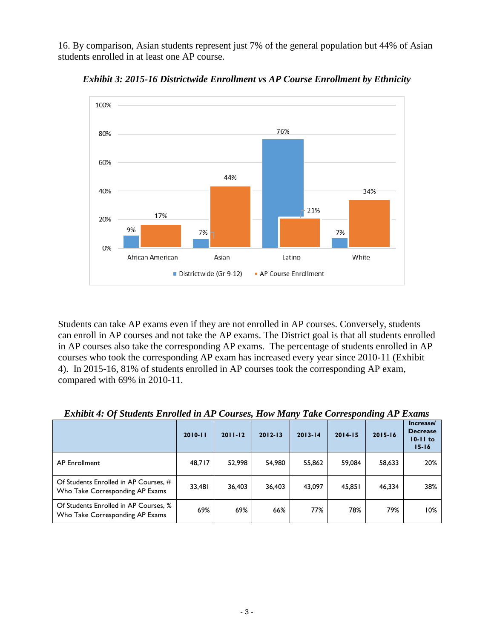16. By comparison, Asian students represent just 7% of the general population but 44% of Asian students enrolled in at least one AP course.



*Exhibit 3: 2015-16 Districtwide Enrollment vs AP Course Enrollment by Ethnicity*

Students can take AP exams even if they are not enrolled in AP courses. Conversely, students can enroll in AP courses and not take the AP exams. The District goal is that all students enrolled in AP courses also take the corresponding AP exams. The percentage of students enrolled in AP courses who took the corresponding AP exam has increased every year since 2010-11 (Exhibit 4). In 2015-16, 81% of students enrolled in AP courses took the corresponding AP exam, compared with 69% in 2010-11.

|                                                                          | $2010 - 11$ | $2011 - 12$ | $2012 - 13$ | $2013 - 14$ | $2014 - 15$ | $2015 - 16$ | Increase/<br><b>Decrease</b><br>$10-11$ to<br>$15 - 16$ |
|--------------------------------------------------------------------------|-------------|-------------|-------------|-------------|-------------|-------------|---------------------------------------------------------|
| <b>AP Enrollment</b>                                                     | 48,717      | 52.998      | 54,980      | 55,862      | 59,084      | 58,633      | 20%                                                     |
| Of Students Enrolled in AP Courses, #<br>Who Take Corresponding AP Exams | 33,481      | 36.403      | 36,403      | 43,097      | 45,851      | 46,334      | 38%                                                     |
| Of Students Enrolled in AP Courses, %<br>Who Take Corresponding AP Exams | 69%         | 69%         | 66%         | 77%         | 78%         | 79%         | 10%                                                     |

*Exhibit 4: Of Students Enrolled in AP Courses, How Many Take Corresponding AP Exams*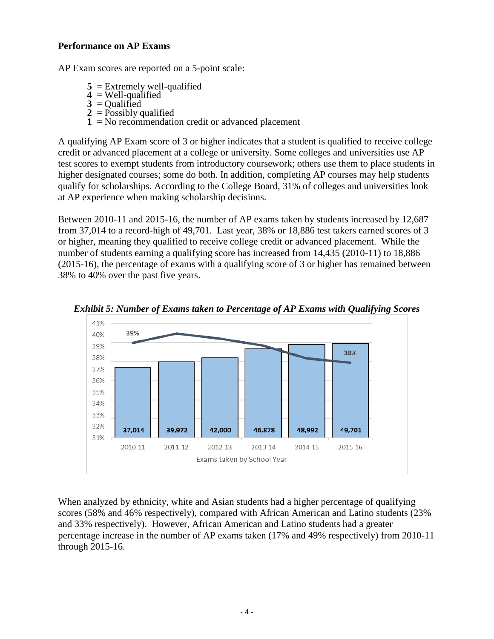## **Performance on AP Exams**

AP Exam scores are reported on a 5-point scale:

- $5 =$  Extremely well-qualified
- **4** = Well-qualified
- $3 =$ Oualified
- $2 =$ Possibly qualified
- **1** = No recommendation credit or advanced placement

A qualifying AP Exam score of 3 or higher indicates that a student is qualified to receive college credit or advanced placement at a college or university. Some colleges and universities use AP test scores to exempt students from introductory coursework; others use them to place students in higher designated courses; some do both. In addition, completing AP courses may help students qualify for scholarships. According to the College Board, 31% of colleges and universities look at AP experience when making scholarship decisions.

Between 2010-11 and 2015-16, the number of AP exams taken by students increased by 12,687 from 37,014 to a record-high of 49,701. Last year, 38% or 18,886 test takers earned scores of 3 or higher, meaning they qualified to receive college credit or advanced placement. While the number of students earning a qualifying score has increased from 14,435 (2010-11) to 18,886 (2015-16), the percentage of exams with a qualifying score of 3 or higher has remained between 38% to 40% over the past five years.



*Exhibit 5: Number of Exams taken to Percentage of AP Exams with Qualifying Scores*

When analyzed by ethnicity, white and Asian students had a higher percentage of qualifying scores (58% and 46% respectively), compared with African American and Latino students (23% and 33% respectively). However, African American and Latino students had a greater percentage increase in the number of AP exams taken (17% and 49% respectively) from 2010-11 through 2015-16.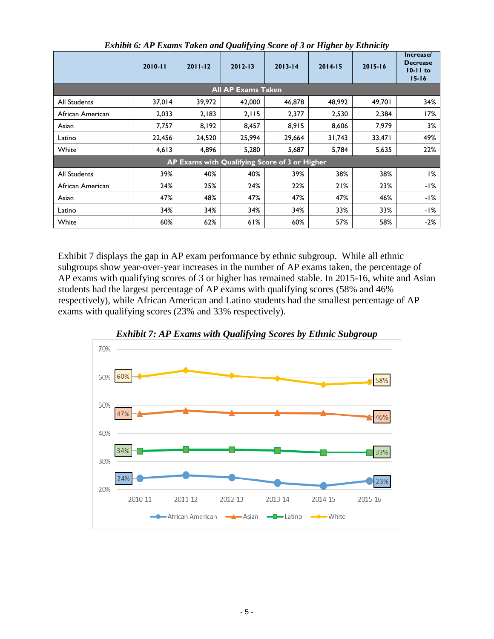|                                               | $2010 - 11$               | $2011 - 12$ | $2012 - 13$ | $2013 - 14$ | $2014 - 15$ | $2015 - 16$ | Increase/<br><b>Decrease</b><br>$10 - 11$ to<br>$15 - 16$ |  |  |  |  |
|-----------------------------------------------|---------------------------|-------------|-------------|-------------|-------------|-------------|-----------------------------------------------------------|--|--|--|--|
|                                               | <b>All AP Exams Taken</b> |             |             |             |             |             |                                                           |  |  |  |  |
| All Students                                  | 37,014                    | 39,972      | 42,000      | 46,878      | 48,992      | 49,701      | 34%                                                       |  |  |  |  |
| African American                              | 2,033                     | 2,183       | 2,115       | 2,377       | 2,530       | 2,384       | 17%                                                       |  |  |  |  |
| Asian                                         | 7,757                     | 8,192       | 8,457       | 8,915       | 8,606       | 7,979       | 3%                                                        |  |  |  |  |
| Latino                                        | 22,456                    | 24,520      | 25,994      | 29,664      | 31,743      | 33,471      | 49%                                                       |  |  |  |  |
| White                                         | 4,613                     | 4,896       | 5,280       | 5,687       | 5,784       | 5,635       | 22%                                                       |  |  |  |  |
| AP Exams with Qualifying Score of 3 or Higher |                           |             |             |             |             |             |                                                           |  |  |  |  |
| All Students                                  | 39%                       | 40%         | 40%         | 39%         | 38%         | 38%         | 1%                                                        |  |  |  |  |
| African American                              | 24%                       | 25%         | 24%         | 22%         | 21%         | 23%         | -1%                                                       |  |  |  |  |
| Asian                                         | 47%                       | 48%         | 47%         | 47%         | 47%         | 46%         | -1%                                                       |  |  |  |  |
| Latino                                        | 34%                       | 34%         | 34%         | 34%         | 33%         | 33%         | -1%                                                       |  |  |  |  |
| White                                         | 60%                       | 62%         | 61%         | 60%         | 57%         | 58%         | $-2%$                                                     |  |  |  |  |

*Exhibit 6: AP Exams Taken and Qualifying Score of 3 or Higher by Ethnicity*

Exhibit 7 displays the gap in AP exam performance by ethnic subgroup. While all ethnic subgroups show year-over-year increases in the number of AP exams taken, the percentage of AP exams with qualifying scores of 3 or higher has remained stable. In 2015-16, white and Asian students had the largest percentage of AP exams with qualifying scores (58% and 46% respectively), while African American and Latino students had the smallest percentage of AP exams with qualifying scores (23% and 33% respectively).



*Exhibit 7: AP Exams with Qualifying Scores by Ethnic Subgroup*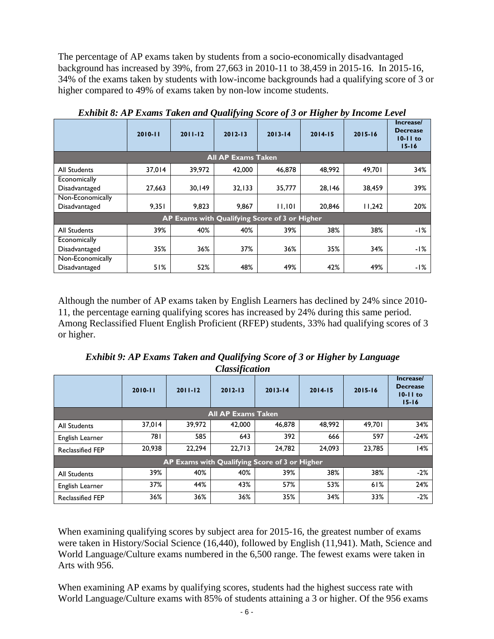The percentage of AP exams taken by students from a socio-economically disadvantaged background has increased by 39%, from 27,663 in 2010-11 to 38,459 in 2015-16. In 2015-16, 34% of the exams taken by students with low-income backgrounds had a qualifying score of 3 or higher compared to 49% of exams taken by non-low income students.

| Latinon 0. Al Lawins Tunch with Quant fing been of 6 of Higher by Hicome Level |             |             |             |             |             |             |                                                           |  |  |  |
|--------------------------------------------------------------------------------|-------------|-------------|-------------|-------------|-------------|-------------|-----------------------------------------------------------|--|--|--|
|                                                                                | $2010 - 11$ | $2011 - 12$ | $2012 - 13$ | $2013 - 14$ | $2014 - 15$ | $2015 - 16$ | Increase/<br><b>Decrease</b><br>$10 - 11$ to<br>$15 - 16$ |  |  |  |
| <b>All AP Exams Taken</b>                                                      |             |             |             |             |             |             |                                                           |  |  |  |
| All Students                                                                   | 37.014      | 39.972      | 42,000      | 46,878      | 48.992      | 49.701      | 34%                                                       |  |  |  |
| Economically                                                                   |             |             |             |             |             |             |                                                           |  |  |  |
| Disadvantaged                                                                  | 27,663      | 30,149      | 32, 133     | 35,777      | 28,146      | 38,459      | 39%                                                       |  |  |  |
| Non-Economically                                                               |             |             |             |             |             |             |                                                           |  |  |  |
| Disadvantaged                                                                  | 9,351       | 9,823       | 9,867       | 11,101      | 20,846      | 11,242      | 20%                                                       |  |  |  |
| AP Exams with Qualifying Score of 3 or Higher                                  |             |             |             |             |             |             |                                                           |  |  |  |
| <b>All Students</b>                                                            | 39%         | 40%         | 40%         | 39%         | 38%         | 38%         | -1%                                                       |  |  |  |
| Economically                                                                   |             |             |             |             |             |             |                                                           |  |  |  |
| Disadvantaged                                                                  | 35%         | 36%         | 37%         | $36\%$      | 35%         | 34%         | -1%                                                       |  |  |  |
| Non-Economically                                                               |             |             |             |             |             |             |                                                           |  |  |  |
| Disadvantaged                                                                  | 51%         | 52%         | 48%         | 49%         | 42%         | 49%         | -1%                                                       |  |  |  |

*Exhibit 8: AP Exams Taken and Qualifying Score of 3 or Higher by Income Level*

Although the number of AP exams taken by English Learners has declined by 24% since 2010- 11, the percentage earning qualifying scores has increased by 24% during this same period. Among Reclassified Fluent English Proficient (RFEP) students, 33% had qualifying scores of 3 or higher.

| <b>Exhibit 9: AP Exams Taken and Qualifying Score of 3 or Higher by Language</b> |
|----------------------------------------------------------------------------------|
| <i><b>Classification</b></i>                                                     |

|                                               | $2010 - 11$ | $2011 - 12$ | $2012 - 13$ | $2013 - 14$ | $2014 - 15$ | $2015 - 16$ | Increase/<br><b>Decrease</b><br>$10-11$ to<br>$15 - 16$ |  |  |  |
|-----------------------------------------------|-------------|-------------|-------------|-------------|-------------|-------------|---------------------------------------------------------|--|--|--|
| <b>All AP Exams Taken</b>                     |             |             |             |             |             |             |                                                         |  |  |  |
| <b>All Students</b>                           | 37.014      | 39.972      | 42,000      | 46.878      | 48.992      | 49.701      | 34%                                                     |  |  |  |
| English Learner                               | 78 I        | 585         | 643         | 392         | 666         | 597         | $-24%$                                                  |  |  |  |
| <b>Reclassified FEP</b>                       | 20.938      | 22.294      | 22.713      | 24.782      | 24.093      | 23,785      | 14%                                                     |  |  |  |
| AP Exams with Qualifying Score of 3 or Higher |             |             |             |             |             |             |                                                         |  |  |  |
| <b>All Students</b>                           | 39%         | 40%         | 40%         | 39%         | 38%         | 38%         | $-2%$                                                   |  |  |  |
| English Learner                               | 37%         | 44%         | 43%         | 57%         | 53%         | 61%         | 24%                                                     |  |  |  |
| <b>Reclassified FEP</b>                       | 36%         | 36%         | 36%         | 35%         | 34%         | 33%         | $-2%$                                                   |  |  |  |

When examining qualifying scores by subject area for 2015-16, the greatest number of exams were taken in History/Social Science (16,440), followed by English (11,941). Math, Science and World Language/Culture exams numbered in the 6,500 range. The fewest exams were taken in Arts with 956.

When examining AP exams by qualifying scores, students had the highest success rate with World Language/Culture exams with 85% of students attaining a 3 or higher. Of the 956 exams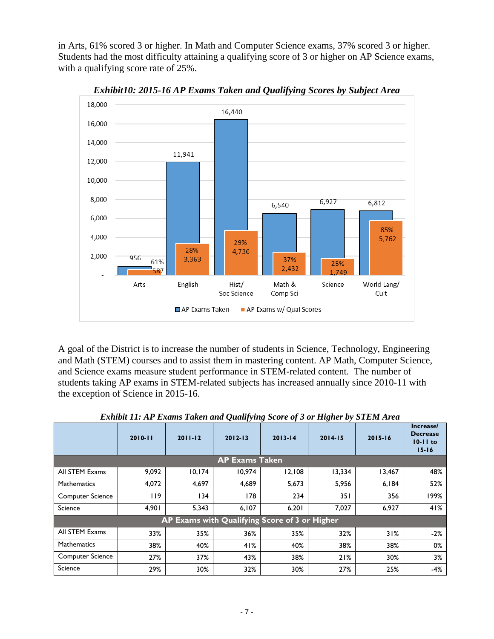in Arts, 61% scored 3 or higher. In Math and Computer Science exams, 37% scored 3 or higher. Students had the most difficulty attaining a qualifying score of 3 or higher on AP Science exams, with a qualifying score rate of 25%.



*Exhibit10: 2015-16 AP Exams Taken and Qualifying Scores by Subject Area*

A goal of the District is to increase the number of students in Science, Technology, Engineering and Math (STEM) courses and to assist them in mastering content. AP Math, Computer Science, and Science exams measure student performance in STEM-related content. The number of students taking AP exams in STEM-related subjects has increased annually since 2010-11 with the exception of Science in 2015-16.

|                                               | $2010 - 11$ | $2011 - 12$ | $2012 - 13$           | $2013 - 14$ | $2014 - 15$ | $2015 - 16$ | Increase/<br><b>Decrease</b><br>$10-11$ to<br>$15 - 16$ |  |  |
|-----------------------------------------------|-------------|-------------|-----------------------|-------------|-------------|-------------|---------------------------------------------------------|--|--|
|                                               |             |             | <b>AP Exams Taken</b> |             |             |             |                                                         |  |  |
| All STEM Exams                                | 9,092       | 10, 174     | 10.974                | 12,108      | 13,334      | 13,467      | 48%                                                     |  |  |
| <b>Mathematics</b>                            | 4,072       | 4,697       | 4,689                 | 5,673       | 5,956       | 6,184       | 52%                                                     |  |  |
| <b>Computer Science</b>                       | 119         | 134         | 178                   | 234         | 351         | 356         | 199%                                                    |  |  |
| Science                                       | 4,901       | 5,343       | 6,107                 | 6,201       | 7,027       | 6,927       | 41%                                                     |  |  |
| AP Exams with Qualifying Score of 3 or Higher |             |             |                       |             |             |             |                                                         |  |  |
| All STEM Exams                                | 33%         | 35%         | 36%                   | 35%         | 32%         | 31%         | $-2%$                                                   |  |  |
| <b>Mathematics</b>                            | 38%         | 40%         | 41%                   | 40%         | 38%         | 38%         | 0%                                                      |  |  |
| <b>Computer Science</b>                       | 27%         | 37%         | 43%                   | 38%         | 21%         | 30%         | 3%                                                      |  |  |
| Science                                       | 29%         | 30%         | 32%                   | 30%         | 27%         | 25%         | $-4%$                                                   |  |  |

*Exhibit 11: AP Exams Taken and Qualifying Score of 3 or Higher by STEM Area*